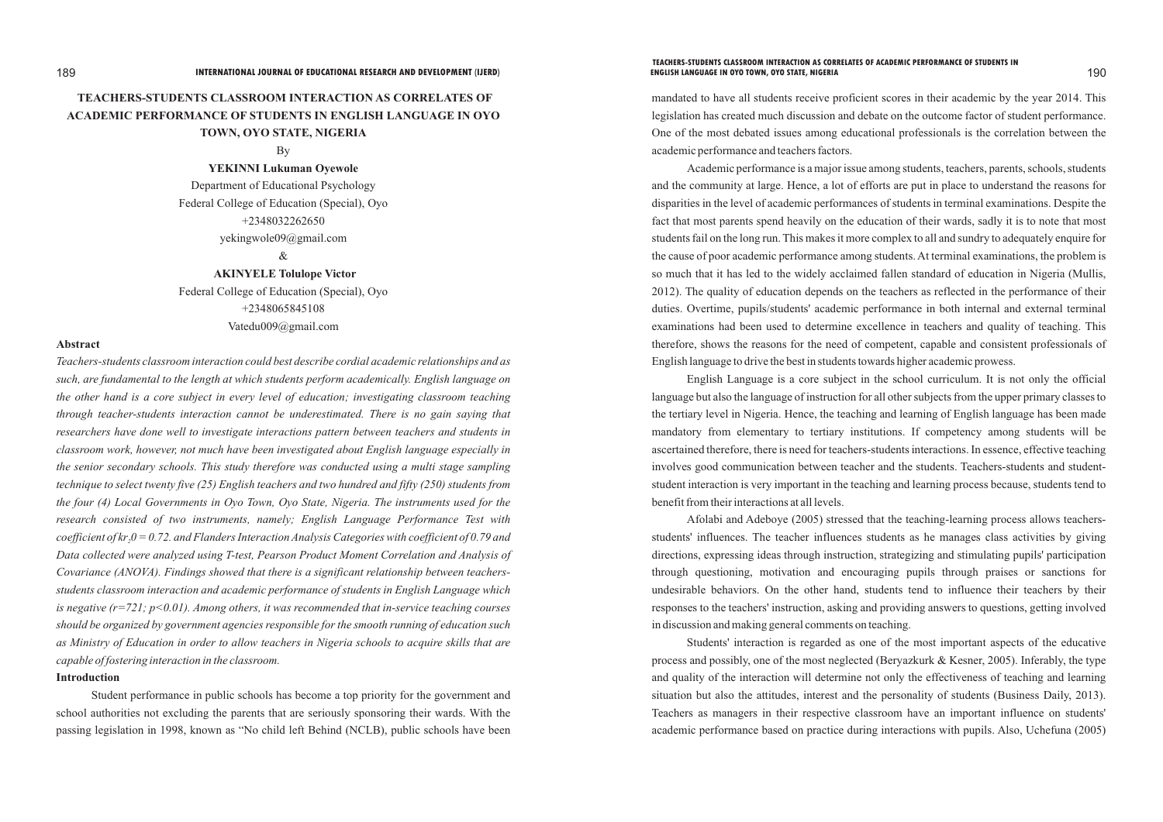# **TEACHERS-STUDENTS CLASSROOM INTERACTION AS CORRELATES OF ACADEMIC PERFORMANCE OF STUDENTS IN ENGLISH LANGUAGE IN OYO TOWN, OYO STATE, NIGERIA**

By

**YEKINNI Lukuman Oyewole**

Department of Educational Psychology Federal College of Education (Special), Oyo +2348032262650 yekingwole09@gmail.com

 $\&$ 

**AKINYELE Tolulope Victor**

Federal College of Education (Special), Oyo +2348065845108 Vatedu009@gmail.com

### **Abstract**

*Teachers-students classroom interaction could best describe cordial academic relationships and as such, are fundamental to the length at which students perform academically. English language on the other hand is a core subject in every level of education; investigating classroom teaching through teacher-students interaction cannot be underestimated. There is no gain saying that researchers have done well to investigate interactions pattern between teachers and students in classroom work, however, not much have been investigated about English language especially in the senior secondary schools. This study therefore was conducted using a multi stage sampling technique to select twenty five (25) English teachers and two hundred and fifty (250) students from the four (4) Local Governments in Oyo Town, Oyo State, Nigeria. The instruments used for the research consisted of two instruments, namely; English Language Performance Test with coefficient of kr 0 = 0.72. and Flanders Interaction Analysis Categories with coefficient of 0.79 and <sup>2</sup> Data collected were analyzed using T-test, Pearson Product Moment Correlation and Analysis of Covariance (ANOVA). Findings showed that there is a significant relationship between teachersstudents classroom interaction and academic performance of students in English Language which is negative (r=721; p<0.01). Among others, it was recommended that in-service teaching courses should be organized by government agencies responsible for the smooth running of education such as Ministry of Education in order to allow teachers in Nigeria schools to acquire skills that are capable of fostering interaction in the classroom.*

### **Introduction**

Student performance in public schools has become a top priority for the government and school authorities not excluding the parents that are seriously sponsoring their wards. With the passing legislation in 1998, known as "No child left Behind (NCLB), public schools have been

mandated to have all students receive proficient scores in their academic by the year 2014. This legislation has created much discussion and debate on the outcome factor of student performance. One of the most debated issues among educational professionals is the correlation between the academic performance and teachers factors.

Academic performance is a major issue among students, teachers, parents, schools, students and the community at large. Hence, a lot of efforts are put in place to understand the reasons for disparities in the level of academic performances of students in terminal examinations. Despite the fact that most parents spend heavily on the education of their wards, sadly it is to note that most students fail on the long run. This makes it more complex to all and sundry to adequately enquire for the cause of poor academic performance among students. At terminal examinations, the problem is so much that it has led to the widely acclaimed fallen standard of education in Nigeria (Mullis, 2012). The quality of education depends on the teachers as reflected in the performance of their duties. Overtime, pupils/students' academic performance in both internal and external terminal examinations had been used to determine excellence in teachers and quality of teaching. This therefore, shows the reasons for the need of competent, capable and consistent professionals of English language to drive the best in students towards higher academic prowess.

English Language is a core subject in the school curriculum. It is not only the official language but also the language of instruction for all other subjects from the upper primary classes to the tertiary level in Nigeria. Hence, the teaching and learning of English language has been made mandatory from elementary to tertiary institutions. If competency among students will be ascertained therefore, there is need for teachers-students interactions. In essence, effective teaching involves good communication between teacher and the students. Teachers-students and studentstudent interaction is very important in the teaching and learning process because, students tend to benefit from their interactions at all levels.

Afolabi and Adeboye (2005) stressed that the teaching-learning process allows teachersstudents' influences. The teacher influences students as he manages class activities by giving directions, expressing ideas through instruction, strategizing and stimulating pupils' participation through questioning, motivation and encouraging pupils through praises or sanctions for undesirable behaviors. On the other hand, students tend to influence their teachers by their responses to the teachers' instruction, asking and providing answers to questions, getting involved in discussion and making general comments on teaching.

Students' interaction is regarded as one of the most important aspects of the educative process and possibly, one of the most neglected (Beryazkurk & Kesner, 2005). Inferably, the type and quality of the interaction will determine not only the effectiveness of teaching and learning situation but also the attitudes, interest and the personality of students (Business Daily, 2013). Teachers as managers in their respective classroom have an important influence on students' academic performance based on practice during interactions with pupils. Also, Uchefuna (2005)

# **TEACHERS-STUDENTS CLASSROOM INTERACTION AS CORRELATES OF ACADEMIC PERFORMANCE OF STUDENTS IN**

189 190 **INTERNATIONAL JOURNAL OF EDUCATIONAL RESEARCH AND DEVELOPMENT (IJERD) ENGLISH LANGUAGE IN OYO TOWN, OYO STATE, NIGERIA**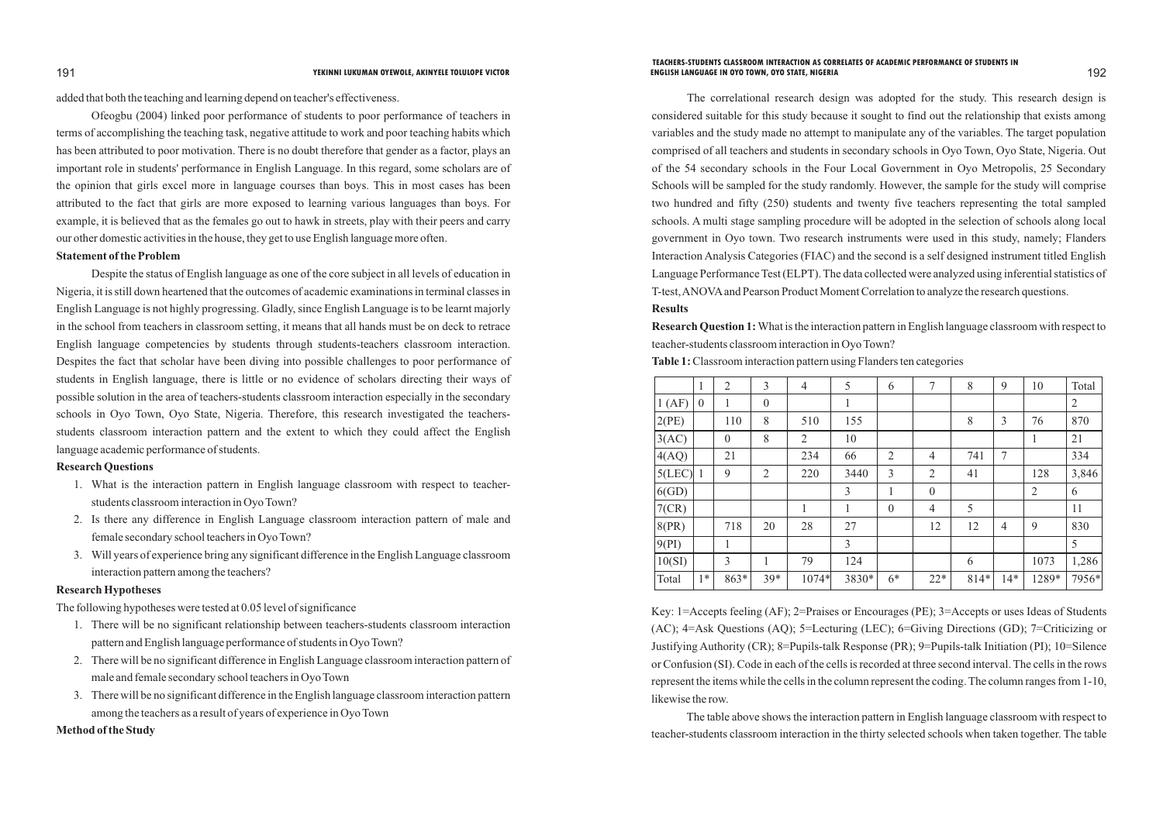added that both the teaching and learning depend on teacher's effectiveness.

Ofeogbu (2004) linked poor performance of students to poor performance of teachers in terms of accomplishing the teaching task, negative attitude to work and poor teaching habits which has been attributed to poor motivation. There is no doubt therefore that gender as a factor, plays an important role in students' performance in English Language. In this regard, some scholars are of the opinion that girls excel more in language courses than boys. This in most cases has been attributed to the fact that girls are more exposed to learning various languages than boys. For example, it is believed that as the females go out to hawk in streets, play with their peers and carry our other domestic activities in the house, they get to use English language more often.

### **Statement of the Problem**

Despite the status of English language as one of the core subject in all levels of education in Nigeria, it is still down heartened that the outcomes of academic examinations in terminal classes in English Language is not highly progressing. Gladly, since English Language is to be learnt majorly in the school from teachers in classroom setting, it means that all hands must be on deck to retrace English language competencies by students through students-teachers classroom interaction. Despites the fact that scholar have been diving into possible challenges to poor performance of students in English language, there is little or no evidence of scholars directing their ways of possible solution in the area of teachers-students classroom interaction especially in the secondary schools in Oyo Town, Oyo State, Nigeria. Therefore, this research investigated the teachersstudents classroom interaction pattern and the extent to which they could affect the English language academic performance of students.

### **Research Questions**

- 1. What is the interaction pattern in English language classroom with respect to teacherstudents classroom interaction in Oyo Town?
- 2. Is there any difference in English Language classroom interaction pattern of male and female secondary school teachers in Oyo Town?
- 3. Will years of experience bring any significant difference in the English Language classroom interaction pattern among the teachers?

### **Research Hypotheses**

The following hypotheses were tested at 0.05 level of significance

- 1. There will be no significant relationship between teachers-students classroom interaction pattern and English language performance of students in Oyo Town?
- 2. There will be no significant difference in English Language classroom interaction pattern of male and female secondary school teachers in Oyo Town
- 3. There will be no significant difference in the English language classroom interaction pattern among the teachers as a result of years of experience in Oyo Town

**Method of the Study** 

The correlational research design was adopted for the study. This research design is considered suitable for this study because it sought to find out the relationship that exists among variables and the study made no attempt to manipulate any of the variables. The target population comprised of all teachers and students in secondary schools in Oyo Town, Oyo State, Nigeria. Out of the 54 secondary schools in the Four Local Government in Oyo Metropolis, 25 Secondary Schools will be sampled for the study randomly. However, the sample for the study will comprise two hundred and fifty (250) students and twenty five teachers representing the total sampled schools. A multi stage sampling procedure will be adopted in the selection of schools along local government in Oyo town. Two research instruments were used in this study, namely; Flanders Interaction Analysis Categories (FIAC) and the second is a self designed instrument titled English Language Performance Test (ELPT). The data collected were analyzed using inferential statistics of T-test, ANOVAand Pearson Product Moment Correlation to analyze the research questions. **Results** 

**Research Question 1:**What is the interaction pattern in English language classroom with respect to teacher-students classroom interaction in Oyo Town? **Table 1:**Classroom interaction pattern using Flanders ten categories

|          | 1                | $\overline{2}$ | 3                | $\overline{4}$ | 5            | 6              | $\tau$         | 8    | 9              | 10             | Total          |
|----------|------------------|----------------|------------------|----------------|--------------|----------------|----------------|------|----------------|----------------|----------------|
| 1(AF)    | $\boldsymbol{0}$ |                | $\boldsymbol{0}$ |                | 1            |                |                |      |                |                | $\overline{2}$ |
| 2(PE)    |                  | 110            | 8                | 510            | 155          |                |                | 8    | 3              | 76             | 870            |
| 3(AC)    |                  | $\theta$       | 8                | $\overline{2}$ | 10           |                |                |      |                | 1              | 21             |
| 4(AQ)    |                  | 21             |                  | 234            | 66           | $\overline{2}$ | $\overline{4}$ | 741  | $\overline{7}$ |                | 334            |
| 5(LEC)   |                  | 9              | $\overline{2}$   | 220            | 3440         | 3              | $\overline{2}$ | 41   |                | 128            | 3,846          |
| 6(GD)    |                  |                |                  |                | 3            | 1              | $\mathbf{0}$   |      |                | $\overline{2}$ | 6              |
| 7(CR)    |                  |                |                  | 1              | $\mathbf{1}$ | $\overline{0}$ | $\overline{4}$ | 5    |                |                | 11             |
| $8$ (PR) |                  | 718            | 20               | 28             | 27           |                | 12             | 12   | $\overline{4}$ | 9              | 830            |
| 9(PI)    |                  | 1              |                  |                | 3            |                |                |      |                |                | 5              |
| 10(SI)   |                  | 3              | 1                | 79             | 124          |                |                | 6    |                | 1073           | 1,286          |
| Total    | $1*$             | 863*           | $39*$            | 1074*          | 3830*        | $6*$           | $22*$          | 814* | $14*$          | 1289*          | 7956*          |

Key: 1=Accepts feeling (AF); 2=Praises or Encourages (PE); 3=Accepts or uses Ideas of Students (AC); 4=Ask Questions (AQ); 5=Lecturing (LEC); 6=Giving Directions (GD); 7=Criticizing or Justifying Authority (CR); 8=Pupils-talk Response (PR); 9=Pupils-talk Initiation (PI); 10=Silence or Confusion (SI). Code in each of the cells is recorded at three second interval. The cells in the rows represent the items while the cells in the column represent the coding. The column ranges from 1-10,

likewise the row.

The table above shows the interaction pattern in English language classroom with respect to teacher-students classroom interaction in the thirty selected schools when taken together. The table

### 191 **YEKINNI LUKUMAN OYEWOLE, AKINYELE TOLULOPE VICTOR** 192  **TEACHERS-STUDENTS CLASSROOM INTERACTION AS CORRELATES OF ACADEMIC PERFORMANCE OF STUDENTS IN ENGLISH LANGUAGE IN OYO TOWN, OYO STATE, NIGERIA**